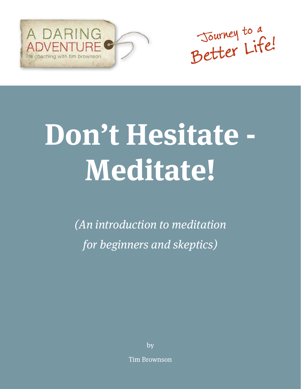



# **Don't Hesitate - Meditate!**

(An introduction to meditation for beginners and skeptics)

by

Tim Brownson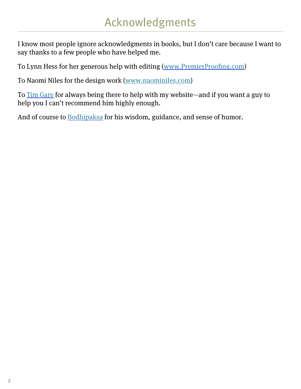I know most people ignore acknowledgments in books, but I don't care because I want to say thanks to a few people who have helped me.

To Lynn Hess for her generous help with editing (www.PremierProofing.com)

To Naomi Niles for the design work (www.naominiles.com)

To Tim Gary for always being there to help with my website—and if you want a guy to help you I can't recommend him highly enough.

And of course to Bodhipaksa for his wisdom, guidance, and sense of humor.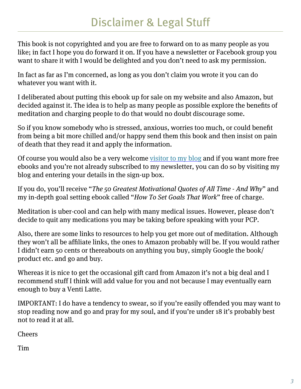This book is not copyrighted and you are free to forward on to as many people as you like; in fact I hope you do forward it on. If you have a newsletter or Facebook group you want to share it with I would be delighted and you don't need to ask my permission.

In fact as far as I'm concerned, as long as you don't claim you wrote it you can do whatever you want with it.

I deliberated about putting this ebook up for sale on my website and also Amazon, but decided against it. The idea is to help as many people as possible explore the benefits of meditation and charging people to do that would no doubt discourage some.

So if you know somebody who is stressed, anxious, worries too much, or could benefit from being a bit more chilled and/or happy send them this book and then insist on pain of death that they read it and apply the information.

Of course you would also be a very welcome visitor to my blog and if you want more free ebooks and you're not already subscribed to my newsletter, you can do so by visiting my blog and entering your details in the sign-up box.

If you do, you'll receive "The 50 Greatest Motivational Quotes of All Time - And Why" and my in-depth goal setting ebook called "How To Set Goals That Work" free of charge.

Meditation is uber-cool and can help with many medical issues. However, please don't decide to quit any medications you may be taking before speaking with your PCP.

Also, there are some links to resources to help you get more out of meditation. Although they won't all be affiliate links, the ones to Amazon probably will be. If you would rather I didn't earn 50 cents or thereabouts on anything you buy, simply Google the book/ product etc. and go and buy.

Whereas it is nice to get the occasional gift card from Amazon it's not a big deal and I recommend stuff I think will add value for you and not because I may eventually earn enough to buy a Venti Latte.

IMPORTANT: I do have a tendency to swear, so if you're easily offended you may want to stop reading now and go and pray for my soul, and if you're under 18 it's probably best not to read it at all.

Cheers

Tim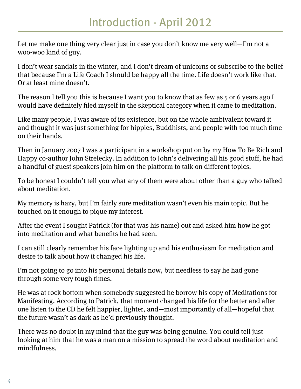Let me make one thing very clear just in case you don't know me very well—I'm not a woo-woo kind of guy.

I don't wear sandals in the winter, and I don't dream of unicorns or subscribe to the belief that because I'm a Life Coach I should be happy all the time. Life doesn't work like that. Or at least mine doesn't.

The reason I tell you this is because I want you to know that as few as 5 or 6 years ago I would have definitely filed myself in the skeptical category when it came to meditation.

Like many people, I was aware of its existence, but on the whole ambivalent toward it and thought it was just something for hippies, Buddhists, and people with too much time on their hands.

Then in January 2007 I was a participant in a workshop put on by my How To Be Rich and Happy co-author John Strelecky. In addition to John's delivering all his good stuff, he had a handful of guest speakers join him on the platform to talk on different topics.

To be honest I couldn't tell you what any of them were about other than a guy who talked about meditation.

My memory is hazy, but I'm fairly sure meditation wasn't even his main topic. But he touched on it enough to pique my interest.

After the event I sought Patrick (for that was his name) out and asked him how he got into meditation and what benefits he had seen.

I can still clearly remember his face lighting up and his enthusiasm for meditation and desire to talk about how it changed his life.

I'm not going to go into his personal details now, but needless to say he had gone through some very tough times.

He was at rock bottom when somebody suggested he borrow his copy of Meditations for Manifesting. According to Patrick, that moment changed his life for the better and after one listen to the CD he felt happier, lighter, and—most importantly of all—hopeful that the future wasn't as dark as he'd previously thought.

There was no doubt in my mind that the guy was being genuine. You could tell just looking at him that he was a man on a mission to spread the word about meditation and mindfulness.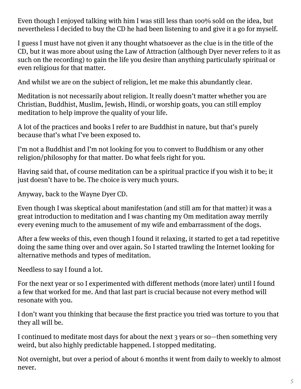Even though I enjoyed talking with him I was still less than 100% sold on the idea, but nevertheless I decided to buy the CD he had been listening to and give it a go for myself.

I guess I must have not given it any thought whatsoever as the clue is in the title of the CD, but it was more about using the Law of Attraction (although Dyer never refers to it as such on the recording) to gain the life you desire than anything particularly spiritual or even religious for that matter.

And whilst we are on the subject of religion, let me make this abundantly clear.

Meditation is not necessarily about religion. It really doesn't matter whether you are Christian, Buddhist, Muslim, Jewish, Hindi, or worship goats, you can still employ meditation to help improve the quality of your life.

A lot of the practices and books I refer to are Buddhist in nature, but that's purely because that's what I've been exposed to.

I'm not a Buddhist and I'm not looking for you to convert to Buddhism or any other religion/philosophy for that matter. Do what feels right for you.

Having said that, of course meditation can be a spiritual practice if you wish it to be; it just doesn't have to be. The choice is very much yours.

Anyway, back to the Wayne Dyer CD.

Even though I was skeptical about manifestation (and still am for that matter) it was a great introduction to meditation and I was chanting my Om meditation away merrily every evening much to the amusement of my wife and embarrassment of the dogs.

After a few weeks of this, even though I found it relaxing, it started to get a tad repetitive doing the same thing over and over again. So I started trawling the Internet looking for alternative methods and types of meditation.

Needless to say I found a lot.

For the next year or so I experimented with different methods (more later) until I found a few that worked for me. And that last part is crucial because not every method will resonate with you.

I don't want you thinking that because the first practice you tried was torture to you that they all will be.

I continued to meditate most days for about the next 3 years or so—then something very weird, but also highly predictable happened. I stopped meditating.

Not overnight, but over a period of about 6 months it went from daily to weekly to almost never.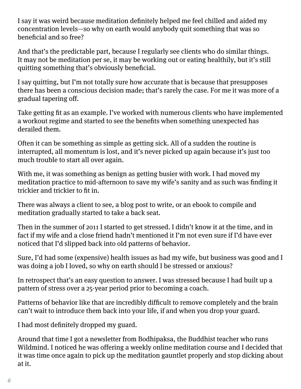I say it was weird because meditation definitely helped me feel chilled and aided my concentration levels—so why on earth would anybody quit something that was so beneficial and so free?

And that's the predictable part, because I regularly see clients who do similar things. It may not be meditation per se, it may be working out or eating healthily, but it's still quitting something that's obviously beneficial.

I say quitting, but I'm not totally sure how accurate that is because that presupposes there has been a conscious decision made; that's rarely the case. For me it was more of a gradual tapering off.

Take getting fit as an example. I've worked with numerous clients who have implemented a workout regime and started to see the benefits when something unexpected has derailed them.

Often it can be something as simple as getting sick. All of a sudden the routine is interrupted, all momentum is lost, and it's never picked up again because it's just too much trouble to start all over again.

With me, it was something as benign as getting busier with work. I had moved my meditation practice to mid-afternoon to save my wife's sanity and as such was finding it trickier and trickier to fit in.

There was always a client to see, a blog post to write, or an ebook to compile and meditation gradually started to take a back seat.

Then in the summer of 2011 I started to get stressed. I didn't know it at the time, and in fact if my wife and a close friend hadn't mentioned it I'm not even sure if I'd have ever noticed that I'd slipped back into old patterns of behavior.

Sure, I'd had some (expensive) health issues as had my wife, but business was good and I was doing a job I loved, so why on earth should I be stressed or anxious?

In retrospect that's an easy question to answer. I was stressed because I had built up a pattern of stress over a 25-year period prior to becoming a coach.

Patterns of behavior like that are incredibly difficult to remove completely and the brain can't wait to introduce them back into your life, if and when you drop your guard.

I had most definitely dropped my guard.

Around that time I got a newsletter from Bodhipaksa, the Buddhist teacher who runs Wildmind. I noticed he was offering a weekly online meditation course and I decided that it was time once again to pick up the meditation gauntlet properly and stop dicking about at it.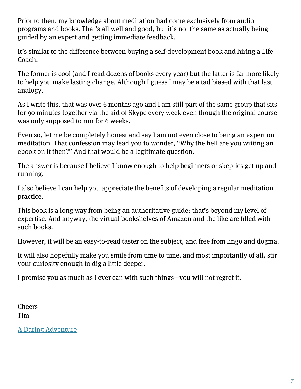Prior to then, my knowledge about meditation had come exclusively from audio programs and books. That's all well and good, but it's not the same as actually being guided by an expert and getting immediate feedback.

It's similar to the difference between buying a self-development book and hiring a Life Coach.

The former is cool (and I read dozens of books every year) but the latter is far more likely to help you make lasting change. Although I guess I may be a tad biased with that last analogy.

As I write this, that was over 6 months ago and I am still part of the same group that sits for 90 minutes together via the aid of Skype every week even though the original course was only supposed to run for 6 weeks.

Even so, let me be completely honest and say I am not even close to being an expert on meditation. That confession may lead you to wonder, "Why the hell are you writing an ebook on it then?" And that would be a legitimate question.

The answer is because I believe I know enough to help beginners or skeptics get up and running.

I also believe I can help you appreciate the benefits of developing a regular meditation practice.

This book is a long way from being an authoritative guide; that's beyond my level of expertise. And anyway, the virtual bookshelves of Amazon and the like are filled with such books.

However, it will be an easy-to-read taster on the subject, and free from lingo and dogma.

It will also hopefully make you smile from time to time, and most importantly of all, stir your curiosity enough to dig a little deeper.

I promise you as much as I ever can with such things—you will not regret it.

Cheers Tim

A Daring Adventure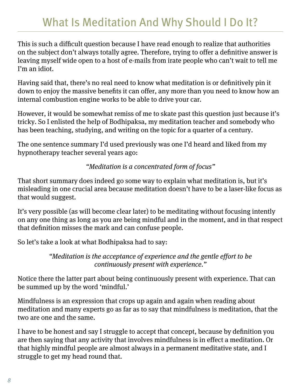# What Is Meditation And Why Should I Do It?

This is such a difficult question because I have read enough to realize that authorities on the subject don't always totally agree. Therefore, trying to offer a definitive answer is leaving myself wide open to a host of e-mails from irate people who can't wait to tell me I'm an idiot.

Having said that, there's no real need to know what meditation is or definitively pin it down to enjoy the massive benefits it can offer, any more than you need to know how an internal combustion engine works to be able to drive your car.

However, it would be somewhat remiss of me to skate past this question just because it's tricky. So I enlisted the help of Bodhipaksa, my meditation teacher and somebody who has been teaching, studying, and writing on the topic for a quarter of a century.

The one sentence summary I'd used previously was one I'd heard and liked from my hypnotherapy teacher several years ago:

"Meditation is a concentrated form of focus"

That short summary does indeed go some way to explain what meditation is, but it's misleading in one crucial area because meditation doesn't have to be a laser-like focus as that would suggest.

It's very possible (as will become clear later) to be meditating without focusing intently on any one thing as long as you are being mindful and in the moment, and in that respect that definition misses the mark and can confuse people.

So let's take a look at what Bodhipaksa had to say:

"Meditation is the acceptance of experience and the gentle effort to be continuously present with experience."

Notice there the latter part about being continuously present with experience. That can be summed up by the word 'mindful.'

Mindfulness is an expression that crops up again and again when reading about meditation and many experts go as far as to say that mindfulness is meditation, that the two are one and the same.

I have to be honest and say I struggle to accept that concept, because by definition you are then saying that any activity that involves mindfulness is in effect a meditation. Or that highly mindful people are almost always in a permanent meditative state, and I struggle to get my head round that.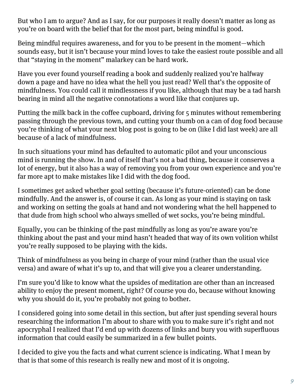But who I am to argue? And as I say, for our purposes it really doesn't matter as long as you're on board with the belief that for the most part, being mindful is good.

Being mindful requires awareness, and for you to be present in the moment—which sounds easy, but it isn't because your mind loves to take the easiest route possible and all that "staying in the moment" malarkey can be hard work.

Have you ever found yourself reading a book and suddenly realized you're halfway down a page and have no idea what the hell you just read? Well that's the opposite of mindfulness. You could call it mindlessness if you like, although that may be a tad harsh bearing in mind all the negative connotations a word like that conjures up.

Putting the milk back in the coffee cupboard, driving for 5 minutes without remembering passing through the previous town, and cutting your thumb on a can of dog food because you're thinking of what your next blog post is going to be on (like I did last week) are all because of a lack of mindfulness.

In such situations your mind has defaulted to automatic pilot and your unconscious mind is running the show. In and of itself that's not a bad thing, because it conserves a lot of energy, but it also has a way of removing you from your own experience and you're far more apt to make mistakes like I did with the dog food.

I sometimes get asked whether goal setting (because it's future-oriented) can be done mindfully. And the answer is, of course it can. As long as your mind is staying on task and working on setting the goals at hand and not wondering what the hell happened to that dude from high school who always smelled of wet socks, you're being mindful.

Equally, you can be thinking of the past mindfully as long as you're aware you're thinking about the past and your mind hasn't headed that way of its own volition whilst you're really supposed to be playing with the kids.

Think of mindfulness as you being in charge of your mind (rather than the usual vice versa) and aware of what it's up to, and that will give you a clearer understanding.

I'm sure you'd like to know what the upsides of meditation are other than an increased ability to enjoy the present moment, right? Of course you do, because without knowing why you should do it, you're probably not going to bother.

I considered going into some detail in this section, but after just spending several hours researching the information I'm about to share with you to make sure it's right and not apocryphal I realized that I'd end up with dozens of links and bury you with superfluous information that could easily be summarized in a few bullet points.

I decided to give you the facts and what current science is indicating. What I mean by that is that some of this research is really new and most of it is ongoing.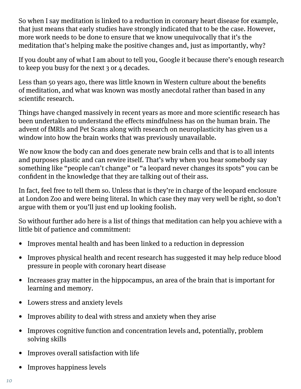So when I say meditation is linked to a reduction in coronary heart disease for example, that just means that early studies have strongly indicated that to be the case. However, more work needs to be done to ensure that we know unequivocally that it's the meditation that's helping make the positive changes and, just as importantly, why?

If you doubt any of what I am about to tell you, Google it because there's enough research to keep you busy for the next 3 or 4 decades.

Less than 50 years ago, there was little known in Western culture about the benefits of meditation, and what was known was mostly anecdotal rather than based in any scientific research.

Things have changed massively in recent years as more and more scientific research has been undertaken to understand the effects mindfulness has on the human brain. The advent of fMRIs and Pet Scans along with research on neuroplasticity has given us a window into how the brain works that was previously unavailable.

We now know the body can and does generate new brain cells and that is to all intents and purposes plastic and can rewire itself. That's why when you hear somebody say something like "people can't change" or "a leopard never changes its spots" you can be confident in the knowledge that they are talking out of their ass.

In fact, feel free to tell them so. Unless that is they're in charge of the leopard enclosure at London Zoo and were being literal. In which case they may very well be right, so don't argue with them or you'll just end up looking foolish.

So without further ado here is a list of things that meditation can help you achieve with a little bit of patience and commitment:

- Improves mental health and has been linked to a reduction in depression
- Improves physical health and recent research has suggested it may help reduce blood pressure in people with coronary heart disease
- Increases gray matter in the hippocampus, an area of the brain that is important for learning and memory.
- Lowers stress and anxiety levels
- Improves ability to deal with stress and anxiety when they arise
- Improves cognitive function and concentration levels and, potentially, problem solving skills
- Improves overall satisfaction with life
- Improves happiness levels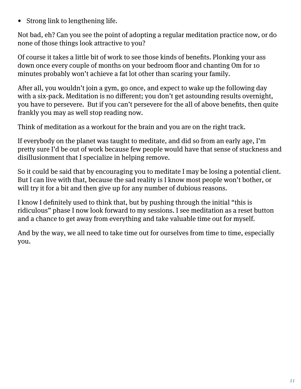• Strong link to lengthening life.

Not bad, eh? Can you see the point of adopting a regular meditation practice now, or do none of those things look attractive to you?

Of course it takes a little bit of work to see those kinds of benefits. Plonking your ass down once every couple of months on your bedroom floor and chanting Om for 10 minutes probably won't achieve a fat lot other than scaring your family.

After all, you wouldn't join a gym, go once, and expect to wake up the following day with a six-pack. Meditation is no different; you don't get astounding results overnight, you have to persevere. But if you can't persevere for the all of above benefits, then quite frankly you may as well stop reading now.

Think of meditation as a workout for the brain and you are on the right track.

If everybody on the planet was taught to meditate, and did so from an early age, I'm pretty sure I'd be out of work because few people would have that sense of stuckness and disillusionment that I specialize in helping remove.

So it could be said that by encouraging you to meditate I may be losing a potential client. But I can live with that, because the sad reality is I know most people won't bother, or will try it for a bit and then give up for any number of dubious reasons.

I know I definitely used to think that, but by pushing through the initial "this is ridiculous" phase I now look forward to my sessions. I see meditation as a reset button and a chance to get away from everything and take valuable time out for myself.

And by the way, we all need to take time out for ourselves from time to time, especially you.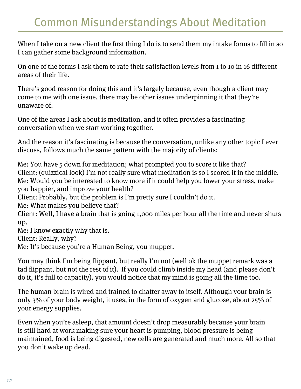When I take on a new client the first thing I do is to send them my intake forms to fill in so I can gather some background information.

On one of the forms I ask them to rate their satisfaction levels from 1 to 10 in 16 different areas of their life.

There's good reason for doing this and it's largely because, even though a client may come to me with one issue, there may be other issues underpinning it that they're unaware of.

One of the areas I ask about is meditation, and it often provides a fascinating conversation when we start working together.

And the reason it's fascinating is because the conversation, unlike any other topic I ever discuss, follows much the same pattern with the majority of clients:

Me: You have 5 down for meditation; what prompted you to score it like that? Client: (quizzical look) I'm not really sure what meditation is so I scored it in the middle. Me: Would you be interested to know more if it could help you lower your stress, make you happier, and improve your health?

Client: Probably, but the problem is I'm pretty sure I couldn't do it.

Me: What makes you believe that?

Client: Well, I have a brain that is going 1,000 miles per hour all the time and never shuts up.

Me: I know exactly why that is.

Client: Really, why?

Me: It's because you're a Human Being, you muppet.

You may think I'm being flippant, but really I'm not (well ok the muppet remark was a tad flippant, but not the rest of it). If you could climb inside my head (and please don't do it, it's full to capacity), you would notice that my mind is going all the time too.

The human brain is wired and trained to chatter away to itself. Although your brain is only 3% of your body weight, it uses, in the form of oxygen and glucose, about 25% of your energy supplies.

Even when you're asleep, that amount doesn't drop measurably because your brain is still hard at work making sure your heart is pumping, blood pressure is being maintained, food is being digested, new cells are generated and much more. All so that you don't wake up dead.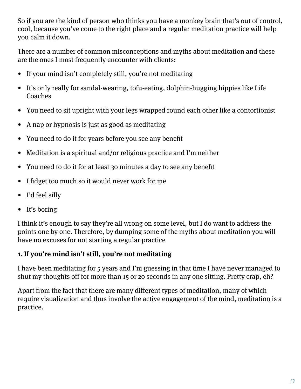So if you are the kind of person who thinks you have a monkey brain that's out of control, cool, because you've come to the right place and a regular meditation practice will help you calm it down.

There are a number of common misconceptions and myths about meditation and these are the ones I most frequently encounter with clients:

- If your mind isn't completely still, you're not meditating
- It's only really for sandal-wearing, tofu-eating, dolphin-hugging hippies like Life Coaches
- You need to sit upright with your legs wrapped round each other like a contortionist
- A nap or hypnosis is just as good as meditating
- You need to do it for years before you see any benefit
- Meditation is a spiritual and/or religious practice and I'm neither
- You need to do it for at least 30 minutes a day to see any benefit
- I fidget too much so it would never work for me
- I'd feel silly
- It's boring

I think it's enough to say they're all wrong on some level, but I do want to address the points one by one. Therefore, by dumping some of the myths about meditation you will have no excuses for not starting a regular practice

## **1. If you're mind isn't still, you're not meditating**

I have been meditating for 5 years and I'm guessing in that time I have never managed to shut my thoughts off for more than 15 or 20 seconds in any one sitting. Pretty crap, eh?

Apart from the fact that there are many different types of meditation, many of which require visualization and thus involve the active engagement of the mind, meditation is a practice.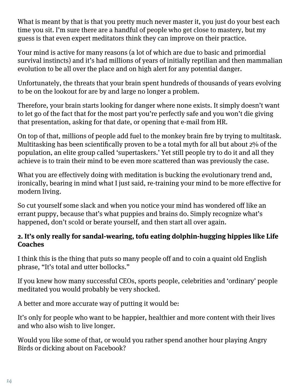What is meant by that is that you pretty much never master it, you just do your best each time you sit. I'm sure there are a handful of people who get close to mastery, but my guess is that even expert meditators think they can improve on their practice.

Your mind is active for many reasons (a lot of which are due to basic and primordial survival instincts) and it's had millions of years of initially reptilian and then mammalian evolution to be all over the place and on high alert for any potential danger.

Unfortunately, the threats that your brain spent hundreds of thousands of years evolving to be on the lookout for are by and large no longer a problem.

Therefore, your brain starts looking for danger where none exists. It simply doesn't want to let go of the fact that for the most part you're perfectly safe and you won't die giving that presentation, asking for that date, or opening that e-mail from HR.

On top of that, millions of people add fuel to the monkey brain fire by trying to multitask. Multitasking has been scientifically proven to be a total myth for all but about 2% of the population, an elite group called 'supertaskers.' Yet still people try to do it and all they achieve is to train their mind to be even more scattered than was previously the case.

What you are effectively doing with meditation is bucking the evolutionary trend and, ironically, bearing in mind what I just said, re-training your mind to be more effective for modern living.

So cut yourself some slack and when you notice your mind has wondered off like an errant puppy, because that's what puppies and brains do. Simply recognize what's happened, don't scold or berate yourself, and then start all over again.

#### **2. It's only really for sandal-wearing, tofu eating dolphin-hugging hippies like Life Coaches**

I think this is the thing that puts so many people off and to coin a quaint old English phrase, "It's total and utter bollocks."

If you knew how many successful CEOs, sports people, celebrities and 'ordinary' people meditated you would probably be very shocked.

A better and more accurate way of putting it would be:

It's only for people who want to be happier, healthier and more content with their lives and who also wish to live longer.

Would you like some of that, or would you rather spend another hour playing Angry Birds or dicking about on Facebook?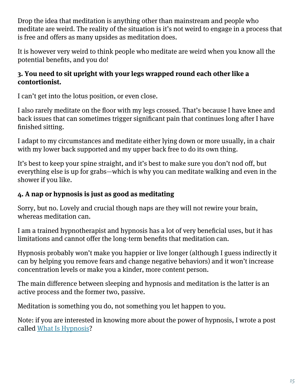Drop the idea that meditation is anything other than mainstream and people who meditate are weird. The reality of the situation is it's not weird to engage in a process that is free and offers as many upsides as meditation does.

It is however very weird to think people who meditate are weird when you know all the potential benefits, and you do!

#### **3. You need to sit upright with your legs wrapped round each other like a contortionist.**

I can't get into the lotus position, or even close.

I also rarely meditate on the floor with my legs crossed. That's because I have knee and back issues that can sometimes trigger significant pain that continues long after I have finished sitting.

I adapt to my circumstances and meditate either lying down or more usually, in a chair with my lower back supported and my upper back free to do its own thing.

It's best to keep your spine straight, and it's best to make sure you don't nod off, but everything else is up for grabs—which is why you can meditate walking and even in the shower if you like.

## **4. A nap or hypnosis is just as good as meditating**

Sorry, but no. Lovely and crucial though naps are they will not rewire your brain, whereas meditation can.

I am a trained hypnotherapist and hypnosis has a lot of very beneficial uses, but it has limitations and cannot offer the long-term benefits that meditation can.

Hypnosis probably won't make you happier or live longer (although I guess indirectly it can by helping you remove fears and change negative behaviors) and it won't increase concentration levels or make you a kinder, more content person.

The main difference between sleeping and hypnosis and meditation is the latter is an active process and the former two, passive.

Meditation is something you do, not something you let happen to you.

Note: if you are interested in knowing more about the power of hypnosis, I wrote a post called What Is Hypnosis?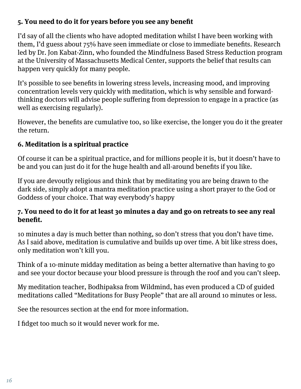## **5. You need to do it for years before you see any benefit**

I'd say of all the clients who have adopted meditation whilst I have been working with them, I'd guess about 75% have seen immediate or close to immediate benefits. Research led by Dr. Jon Kabat-Zinn, who founded the Mindfulness Based Stress Reduction program at the University of Massachusetts Medical Center, supports the belief that results can happen very quickly for many people.

It's possible to see benefits in lowering stress levels, increasing mood, and improving concentration levels very quickly with meditation, which is why sensible and forwardthinking doctors will advise people suffering from depression to engage in a practice (as well as exercising regularly).

However, the benefits are cumulative too, so like exercise, the longer you do it the greater the return.

## **6. Meditation is a spiritual practice**

Of course it can be a spiritual practice, and for millions people it is, but it doesn't have to be and you can just do it for the huge health and all-around benefits if you like.

If you are devoutly religious and think that by meditating you are being drawn to the dark side, simply adopt a mantra meditation practice using a short prayer to the God or Goddess of your choice. That way everybody's happy

#### **7. You need to do it for at least 30 minutes a day and go on retreats to see any real benefit.**

10 minutes a day is much better than nothing, so don't stress that you don't have time. As I said above, meditation is cumulative and builds up over time. A bit like stress does, only meditation won't kill you.

Think of a 10-minute midday meditation as being a better alternative than having to go and see your doctor because your blood pressure is through the roof and you can't sleep.

My meditation teacher, Bodhipaksa from Wildmind, has even produced a CD of guided meditations called "Meditations for Busy People" that are all around 10 minutes or less.

See the resources section at the end for more information.

I fidget too much so it would never work for me.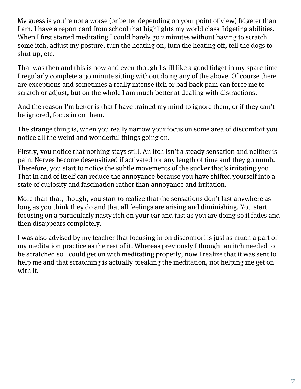My guess is you're not a worse (or better depending on your point of view) fidgeter than I am. I have a report card from school that highlights my world class fidgeting abilities. When I first started meditating I could barely go 2 minutes without having to scratch some itch, adjust my posture, turn the heating on, turn the heating off, tell the dogs to shut up, etc.

That was then and this is now and even though I still like a good fidget in my spare time I regularly complete a 30 minute sitting without doing any of the above. Of course there are exceptions and sometimes a really intense itch or bad back pain can force me to scratch or adjust, but on the whole I am much better at dealing with distractions.

And the reason I'm better is that I have trained my mind to ignore them, or if they can't be ignored, focus in on them.

The strange thing is, when you really narrow your focus on some area of discomfort you notice all the weird and wonderful things going on.

Firstly, you notice that nothing stays still. An itch isn't a steady sensation and neither is pain. Nerves become desensitized if activated for any length of time and they go numb. Therefore, you start to notice the subtle movements of the sucker that's irritating you That in and of itself can reduce the annoyance because you have shifted yourself into a state of curiosity and fascination rather than annoyance and irritation.

More than that, though, you start to realize that the sensations don't last anywhere as long as you think they do and that all feelings are arising and diminishing. You start focusing on a particularly nasty itch on your ear and just as you are doing so it fades and then disappears completely.

I was also advised by my teacher that focusing in on discomfort is just as much a part of my meditation practice as the rest of it. Whereas previously I thought an itch needed to be scratched so I could get on with meditating properly, now I realize that it was sent to help me and that scratching is actually breaking the meditation, not helping me get on with it.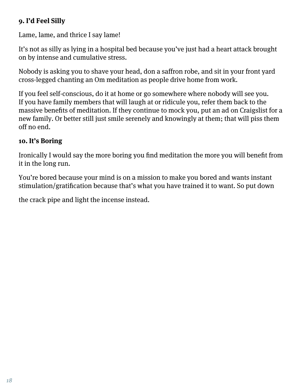## **9. I'd Feel Silly**

Lame, lame, and thrice I say lame!

It's not as silly as lying in a hospital bed because you've just had a heart attack brought on by intense and cumulative stress.

Nobody is asking you to shave your head, don a saffron robe, and sit in your front yard cross-legged chanting an Om meditation as people drive home from work.

If you feel self-conscious, do it at home or go somewhere where nobody will see you. If you have family members that will laugh at or ridicule you, refer them back to the massive benefits of meditation. If they continue to mock you, put an ad on Craigslist for a new family. Or better still just smile serenely and knowingly at them; that will piss them off no end.

#### **10. It's Boring**

Ironically I would say the more boring you find meditation the more you will benefit from it in the long run.

You're bored because your mind is on a mission to make you bored and wants instant stimulation/gratification because that's what you have trained it to want. So put down

the crack pipe and light the incense instead.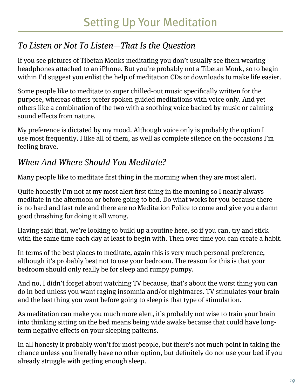## To Listen or Not To Listen—That Is the Question

If you see pictures of Tibetan Monks meditating you don't usually see them wearing headphones attached to an iPhone. But you're probably not a Tibetan Monk, so to begin within I'd suggest you enlist the help of meditation CDs or downloads to make life easier.

Some people like to meditate to super chilled-out music specifically written for the purpose, whereas others prefer spoken guided meditations with voice only. And yet others like a combination of the two with a soothing voice backed by music or calming sound effects from nature.

My preference is dictated by my mood. Although voice only is probably the option I use most frequently, I like all of them, as well as complete silence on the occasions I'm feeling brave.

## When And Where Should You Meditate?

Many people like to meditate first thing in the morning when they are most alert.

Quite honestly I'm not at my most alert first thing in the morning so I nearly always meditate in the afternoon or before going to bed. Do what works for you because there is no hard and fast rule and there are no Meditation Police to come and give you a damn good thrashing for doing it all wrong.

Having said that, we're looking to build up a routine here, so if you can, try and stick with the same time each day at least to begin with. Then over time you can create a habit.

In terms of the best places to meditate, again this is very much personal preference, although it's probably best not to use your bedroom. The reason for this is that your bedroom should only really be for sleep and rumpy pumpy.

And no, I didn't forget about watching TV because, that's about the worst thing you can do in bed unless you want raging insomnia and/or nightmares. TV stimulates your brain and the last thing you want before going to sleep is that type of stimulation.

As meditation can make you much more alert, it's probably not wise to train your brain into thinking sitting on the bed means being wide awake because that could have longterm negative effects on your sleeping patterns.

In all honesty it probably won't for most people, but there's not much point in taking the chance unless you literally have no other option, but definitely do not use your bed if you already struggle with getting enough sleep.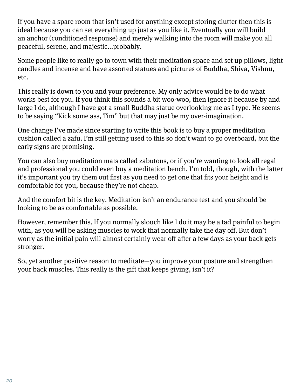If you have a spare room that isn't used for anything except storing clutter then this is ideal because you can set everything up just as you like it. Eventually you will build an anchor (conditioned response) and merely walking into the room will make you all peaceful, serene, and majestic...probably.

Some people like to really go to town with their meditation space and set up pillows, light candles and incense and have assorted statues and pictures of Buddha, Shiva, Vishnu, etc.

This really is down to you and your preference. My only advice would be to do what works best for you. If you think this sounds a bit woo-woo, then ignore it because by and large I do, although I have got a small Buddha statue overlooking me as I type. He seems to be saying "Kick some ass, Tim" but that may just be my over-imagination.

One change I've made since starting to write this book is to buy a proper meditation cushion called a zafu. I'm still getting used to this so don't want to go overboard, but the early signs are promising.

You can also buy meditation mats called zabutons, or if you're wanting to look all regal and professional you could even buy a meditation bench. I'm told, though, with the latter it's important you try them out first as you need to get one that fits your height and is comfortable for you, because they're not cheap.

And the comfort bit is the key. Meditation isn't an endurance test and you should be looking to be as comfortable as possible.

However, remember this. If you normally slouch like I do it may be a tad painful to begin with, as you will be asking muscles to work that normally take the day off. But don't worry as the initial pain will almost certainly wear off after a few days as your back gets stronger.

So, yet another positive reason to meditate—you improve your posture and strengthen your back muscles. This really is the gift that keeps giving, isn't it?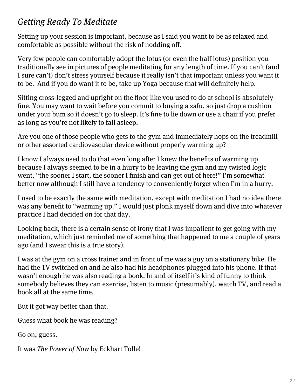## Getting Ready To Meditate

Setting up your session is important, because as I said you want to be as relaxed and comfortable as possible without the risk of nodding off.

Very few people can comfortably adopt the lotus (or even the half lotus) position you traditionally see in pictures of people meditating for any length of time. If you can't (and I sure can't) don't stress yourself because it really isn't that important unless you want it to be. And if you do want it to be, take up Yoga because that will definitely help.

Sitting cross-legged and upright on the floor like you used to do at school is absolutely fine. You may want to wait before you commit to buying a zafu, so just drop a cushion under your bum so it doesn't go to sleep. It's fine to lie down or use a chair if you prefer as long as you're not likely to fall asleep.

Are you one of those people who gets to the gym and immediately hops on the treadmill or other assorted cardiovascular device without properly warming up?

I know I always used to do that even long after I knew the benefits of warming up because I always seemed to be in a hurry to be leaving the gym and my twisted logic went, "the sooner I start, the sooner I finish and can get out of here!" I'm somewhat better now although I still have a tendency to conveniently forget when I'm in a hurry.

I used to be exactly the same with meditation, except with meditation I had no idea there was any benefit to "warming up." I would just plonk myself down and dive into whatever practice I had decided on for that day.

Looking back, there is a certain sense of irony that I was impatient to get going with my meditation, which just reminded me of something that happened to me a couple of years ago (and I swear this is a true story).

I was at the gym on a cross trainer and in front of me was a guy on a stationary bike. He had the TV switched on and he also had his headphones plugged into his phone. If that wasn't enough he was also reading a book. In and of itself it's kind of funny to think somebody believes they can exercise, listen to music (presumably), watch TV, and read a book all at the same time.

But it got way better than that.

Guess what book he was reading?

Go on, guess.

It was The Power of Now by Eckhart Tolle!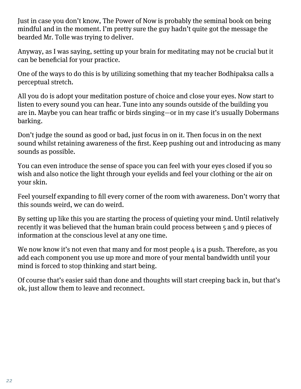Just in case you don't know, The Power of Now is probably the seminal book on being mindful and in the moment. I'm pretty sure the guy hadn't quite got the message the bearded Mr. Tolle was trying to deliver.

Anyway, as I was saying, setting up your brain for meditating may not be crucial but it can be beneficial for your practice.

One of the ways to do this is by utilizing something that my teacher Bodhipaksa calls a perceptual stretch.

All you do is adopt your meditation posture of choice and close your eyes. Now start to listen to every sound you can hear. Tune into any sounds outside of the building you are in. Maybe you can hear traffic or birds singing—or in my case it's usually Dobermans barking.

Don't judge the sound as good or bad, just focus in on it. Then focus in on the next sound whilst retaining awareness of the first. Keep pushing out and introducing as many sounds as possible.

You can even introduce the sense of space you can feel with your eyes closed if you so wish and also notice the light through your eyelids and feel your clothing or the air on your skin.

Feel yourself expanding to fill every corner of the room with awareness. Don't worry that this sounds weird, we can do weird.

By setting up like this you are starting the process of quieting your mind. Until relatively recently it was believed that the human brain could process between 5 and 9 pieces of information at the conscious level at any one time.

We now know it's not even that many and for most people  $\mu$  is a push. Therefore, as you add each component you use up more and more of your mental bandwidth until your mind is forced to stop thinking and start being.

Of course that's easier said than done and thoughts will start creeping back in, but that's ok, just allow them to leave and reconnect.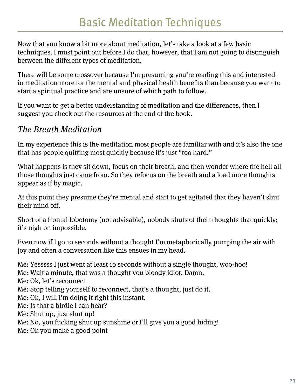Now that you know a bit more about meditation, let's take a look at a few basic techniques. I must point out before I do that, however, that I am not going to distinguish between the different types of meditation.

There will be some crossover because I'm presuming you're reading this and interested in meditation more for the mental and physical health benefits than because you want to start a spiritual practice and are unsure of which path to follow.

If you want to get a better understanding of meditation and the differences, then I suggest you check out the resources at the end of the book.

## The Breath Meditation

In my experience this is the meditation most people are familiar with and it's also the one that has people quitting most quickly because it's just "too hard."

What happens is they sit down, focus on their breath, and then wonder where the hell all those thoughts just came from. So they refocus on the breath and a load more thoughts appear as if by magic.

At this point they presume they're mental and start to get agitated that they haven't shut their mind off.

Short of a frontal lobotomy (not advisable), nobody shuts of their thoughts that quickly; it's nigh on impossible.

Even now if I go 10 seconds without a thought I'm metaphorically pumping the air with joy and often a conversation like this ensues in my head.

Me: Yesssss I just went at least 10 seconds without a single thought, woo-hoo! Me: Wait a minute, that was a thought you bloody idiot. Damn. Me: Ok, let's reconnect Me: Stop telling yourself to reconnect, that's a thought, just do it. Me: Ok, I will I'm doing it right this instant. Me: Is that a birdie I can hear? Me: Shut up, just shut up! Me: No, you fucking shut up sunshine or I'll give you a good hiding! Me: Ok you make a good point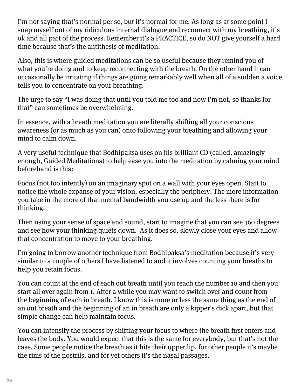I'm not saying that's normal per se, but it's normal for me. As long as at some point I snap myself out of my ridiculous internal dialogue and reconnect with my breathing, it's ok and all part of the process. Remember it's a PRACTICE, so do NOT give yourself a hard time because that's the antithesis of meditation.

Also, this is where guided meditations can be so useful because they remind you of what you're doing and to keep reconnecting with the breath. On the other hand it can occasionally be irritating if things are going remarkably well when all of a sudden a voice tells you to concentrate on your breathing.

The urge to say "I was doing that until you told me too and now I'm not, so thanks for that" can sometimes be overwhelming.

In essence, with a breath meditation you are literally shifting all your conscious awareness (or as much as you can) onto following your breathing and allowing your mind to calm down.

A very useful technique that Bodhipaksa uses on his brilliant CD (called, amazingly enough, Guided Meditations) to help ease you into the meditation by calming your mind beforehand is this:

Focus (not too intently) on an imaginary spot on a wall with your eyes open. Start to notice the whole expanse of your vision, especially the periphery. The more information you take in the more of that mental bandwidth you use up and the less there is for thinking.

Then using your sense of space and sound, start to imagine that you can see 360 degrees and see how your thinking quiets down. As it does so, slowly close your eyes and allow that concentration to move to your breathing.

I'm going to borrow another technique from Bodhipaksa's meditation because it's very similar to a couple of others I have listened to and it involves counting your breaths to help you retain focus.

You can count at the end of each out breath until you reach the number 10 and then you start all over again from 1. After a while you may want to switch over and count from the beginning of each in breath. I know this is more or less the same thing as the end of an out breath and the beginning of an in breath are only a kipper's dick apart, but that simple change can help maintain focus.

You can intensify the process by shifting your focus to where the breath first enters and leaves the body. You would expect that this is the same for everybody, but that's not the case. Some people notice the breath as it hits their upper lip, for other people it's maybe the rims of the nostrils, and for yet others it's the nasal passages.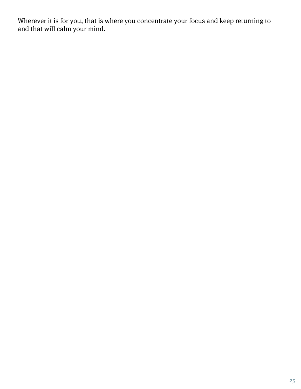Wherever it is for you, that is where you concentrate your focus and keep returning to and that will calm your mind.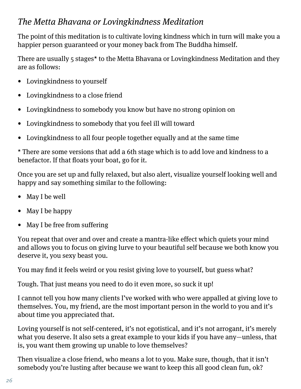## The Metta Bhavana or Lovingkindness Meditation

The point of this meditation is to cultivate loving kindness which in turn will make you a happier person guaranteed or your money back from The Buddha himself.

There are usually 5 stages\* to the Metta Bhavana or Lovingkindness Meditation and they are as follows:

- Lovingkindness to yourself
- Lovingkindness to a close friend
- Lovingkindness to somebody you know but have no strong opinion on
- Lovingkindness to somebody that you feel ill will toward
- Lovingkindness to all four people together equally and at the same time

\* There are some versions that add a 6th stage which is to add love and kindness to a benefactor. If that floats your boat, go for it.

Once you are set up and fully relaxed, but also alert, visualize yourself looking well and happy and say something similar to the following:

- May I be well
- May I be happy
- May I be free from suffering

You repeat that over and over and create a mantra-like effect which quiets your mind and allows you to focus on giving lurve to your beautiful self because we both know you deserve it, you sexy beast you.

You may find it feels weird or you resist giving love to yourself, but guess what?

Tough. That just means you need to do it even more, so suck it up!

I cannot tell you how many clients I've worked with who were appalled at giving love to themselves. You, my friend, are the most important person in the world to you and it's about time you appreciated that.

Loving yourself is not self-centered, it's not egotistical, and it's not arrogant, it's merely what you deserve. It also sets a great example to your kids if you have any—unless, that is, you want them growing up unable to love themselves?

Then visualize a close friend, who means a lot to you. Make sure, though, that it isn't somebody you're lusting after because we want to keep this all good clean fun, ok?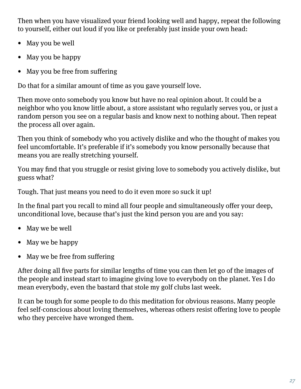Then when you have visualized your friend looking well and happy, repeat the following to yourself, either out loud if you like or preferably just inside your own head:

- May you be well
- May you be happy
- May you be free from suffering

Do that for a similar amount of time as you gave yourself love.

Then move onto somebody you know but have no real opinion about. It could be a neighbor who you know little about, a store assistant who regularly serves you, or just a random person you see on a regular basis and know next to nothing about. Then repeat the process all over again.

Then you think of somebody who you actively dislike and who the thought of makes you feel uncomfortable. It's preferable if it's somebody you know personally because that means you are really stretching yourself.

You may find that you struggle or resist giving love to somebody you actively dislike, but guess what?

Tough. That just means you need to do it even more so suck it up!

In the final part you recall to mind all four people and simultaneously offer your deep, unconditional love, because that's just the kind person you are and you say:

- May we be well
- May we be happy
- May we be free from suffering

After doing all five parts for similar lengths of time you can then let go of the images of the people and instead start to imagine giving love to everybody on the planet. Yes I do mean everybody, even the bastard that stole my golf clubs last week.

It can be tough for some people to do this meditation for obvious reasons. Many people feel self-conscious about loving themselves, whereas others resist offering love to people who they perceive have wronged them.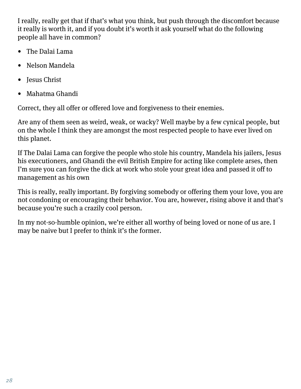I really, really get that if that's what you think, but push through the discomfort because it really is worth it, and if you doubt it's worth it ask yourself what do the following people all have in common?

- The Dalai Lama
- Nelson Mandela
- Jesus Christ
- Mahatma Ghandi

Correct, they all offer or offered love and forgiveness to their enemies.

Are any of them seen as weird, weak, or wacky? Well maybe by a few cynical people, but on the whole I think they are amongst the most respected people to have ever lived on this planet.

If The Dalai Lama can forgive the people who stole his country, Mandela his jailers, Jesus his executioners, and Ghandi the evil British Empire for acting like complete arses, then I'm sure you can forgive the dick at work who stole your great idea and passed it off to management as his own

This is really, really important. By forgiving somebody or offering them your love, you are not condoning or encouraging their behavior. You are, however, rising above it and that's because you're such a crazily cool person.

In my not-so-humble opinion, we're either all worthy of being loved or none of us are. I may be naive but I prefer to think it's the former.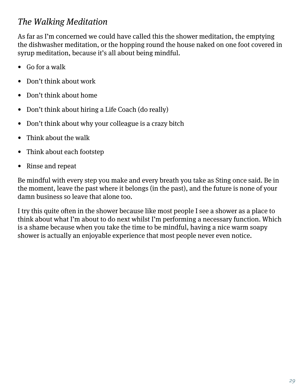## The Walking Meditation

As far as I'm concerned we could have called this the shower meditation, the emptying the dishwasher meditation, or the hopping round the house naked on one foot covered in syrup meditation, because it's all about being mindful.

- Go for a walk
- Don't think about work
- Don't think about home
- Don't think about hiring a Life Coach (do really)
- Don't think about why your colleague is a crazy bitch
- Think about the walk
- Think about each footstep
- Rinse and repeat

Be mindful with every step you make and every breath you take as Sting once said. Be in the moment, leave the past where it belongs (in the past), and the future is none of your damn business so leave that alone too.

I try this quite often in the shower because like most people I see a shower as a place to think about what I'm about to do next whilst I'm performing a necessary function. Which is a shame because when you take the time to be mindful, having a nice warm soapy shower is actually an enjoyable experience that most people never even notice.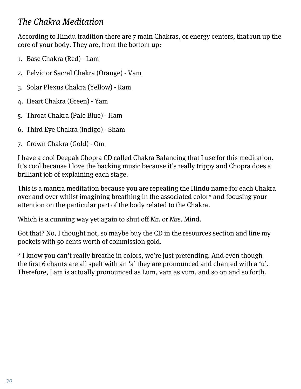## The Chakra Meditation

According to Hindu tradition there are 7 main Chakras, or energy centers, that run up the core of your body. They are, from the bottom up:

- 1. Base Chakra (Red) Lam
- 2. Pelvic or Sacral Chakra (Orange) Vam
- 3. Solar Plexus Chakra (Yellow) Ram
- 4. Heart Chakra (Green) Yam
- 5. Throat Chakra (Pale Blue) Ham
- 6. Third Eye Chakra (indigo) Sham
- 7. Crown Chakra (Gold) Om

I have a cool Deepak Chopra CD called Chakra Balancing that I use for this meditation. It's cool because I love the backing music because it's really trippy and Chopra does a brilliant job of explaining each stage.

This is a mantra meditation because you are repeating the Hindu name for each Chakra over and over whilst imagining breathing in the associated color\* and focusing your attention on the particular part of the body related to the Chakra.

Which is a cunning way yet again to shut off Mr. or Mrs. Mind.

Got that? No, I thought not, so maybe buy the CD in the resources section and line my pockets with 50 cents worth of commission gold.

\* I know you can't really breathe in colors, we're just pretending. And even though the first 6 chants are all spelt with an 'a' they are pronounced and chanted with a 'u'. Therefore, Lam is actually pronounced as Lum, vam as vum, and so on and so forth.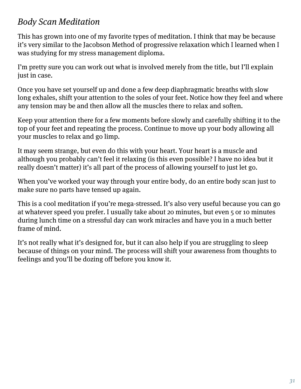## Body Scan Meditation

This has grown into one of my favorite types of meditation. I think that may be because it's very similar to the Jacobson Method of progressive relaxation which I learned when I was studying for my stress management diploma.

I'm pretty sure you can work out what is involved merely from the title, but I'll explain just in case.

Once you have set yourself up and done a few deep diaphragmatic breaths with slow long exhales, shift your attention to the soles of your feet. Notice how they feel and where any tension may be and then allow all the muscles there to relax and soften.

Keep your attention there for a few moments before slowly and carefully shifting it to the top of your feet and repeating the process. Continue to move up your body allowing all your muscles to relax and go limp.

It may seem strange, but even do this with your heart. Your heart is a muscle and although you probably can't feel it relaxing (is this even possible? I have no idea but it really doesn't matter) it's all part of the process of allowing yourself to just let go.

When you've worked your way through your entire body, do an entire body scan just to make sure no parts have tensed up again.

This is a cool meditation if you're mega-stressed. It's also very useful because you can go at whatever speed you prefer. I usually take about 20 minutes, but even 5 or 10 minutes during lunch time on a stressful day can work miracles and have you in a much better frame of mind.

It's not really what it's designed for, but it can also help if you are struggling to sleep because of things on your mind. The process will shift your awareness from thoughts to feelings and you'll be dozing off before you know it.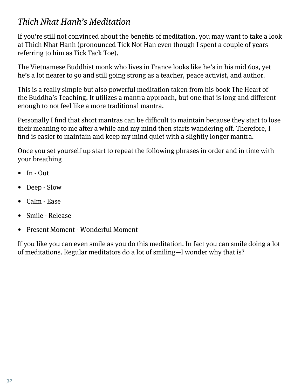## Thich Nhat Hanh's Meditation

If you're still not convinced about the benefits of meditation, you may want to take a look at Thich Nhat Hanh (pronounced Tick Not Han even though I spent a couple of years referring to him as Tick Tack Toe).

The Vietnamese Buddhist monk who lives in France looks like he's in his mid 60s, yet he's a lot nearer to 90 and still going strong as a teacher, peace activist, and author.

This is a really simple but also powerful meditation taken from his book The Heart of the Buddha's Teaching. It utilizes a mantra approach, but one that is long and different enough to not feel like a more traditional mantra.

Personally I find that short mantras can be difficult to maintain because they start to lose their meaning to me after a while and my mind then starts wandering off. Therefore, I find is easier to maintain and keep my mind quiet with a slightly longer mantra.

Once you set yourself up start to repeat the following phrases in order and in time with your breathing

- In Out
- Deep Slow
- Calm Ease
- Smile Release
- Present Moment Wonderful Moment

If you like you can even smile as you do this meditation. In fact you can smile doing a lot of meditations. Regular meditators do a lot of smiling—I wonder why that is?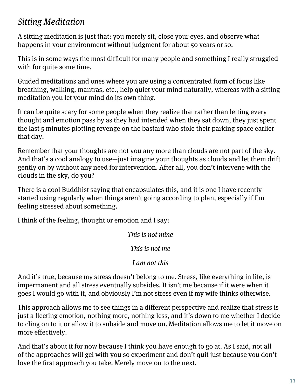## Sitting Meditation

A sitting meditation is just that: you merely sit, close your eyes, and observe what happens in your environment without judgment for about 50 years or so.

This is in some ways the most difficult for many people and something I really struggled with for quite some time.

Guided meditations and ones where you are using a concentrated form of focus like breathing, walking, mantras, etc., help quiet your mind naturally, whereas with a sitting meditation you let your mind do its own thing.

It can be quite scary for some people when they realize that rather than letting every thought and emotion pass by as they had intended when they sat down, they just spent the last 5 minutes plotting revenge on the bastard who stole their parking space earlier that day.

Remember that your thoughts are not you any more than clouds are not part of the sky. And that's a cool analogy to use—just imagine your thoughts as clouds and let them drift gently on by without any need for intervention. After all, you don't intervene with the clouds in the sky, do you?

There is a cool Buddhist saying that encapsulates this, and it is one I have recently started using regularly when things aren't going according to plan, especially if I'm feeling stressed about something.

I think of the feeling, thought or emotion and I say:

This is not mine

This is not me

I am not this

And it's true, because my stress doesn't belong to me. Stress, like everything in life, is impermanent and all stress eventually subsides. It isn't me because if it were when it goes I would go with it, and obviously I'm not stress even if my wife thinks otherwise.

This approach allows me to see things in a different perspective and realize that stress is just a fleeting emotion, nothing more, nothing less, and it's down to me whether I decide to cling on to it or allow it to subside and move on. Meditation allows me to let it move on more effectively.

And that's about it for now because I think you have enough to go at. As I said, not all of the approaches will gel with you so experiment and don't quit just because you don't love the first approach you take. Merely move on to the next.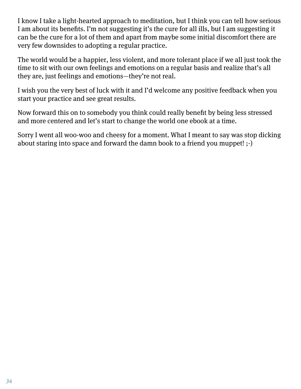I know I take a light-hearted approach to meditation, but I think you can tell how serious I am about its benefits. I'm not suggesting it's the cure for all ills, but I am suggesting it can be the cure for a lot of them and apart from maybe some initial discomfort there are very few downsides to adopting a regular practice.

The world would be a happier, less violent, and more tolerant place if we all just took the time to sit with our own feelings and emotions on a regular basis and realize that's all they are, just feelings and emotions—they're not real.

I wish you the very best of luck with it and I'd welcome any positive feedback when you start your practice and see great results.

Now forward this on to somebody you think could really benefit by being less stressed and more centered and let's start to change the world one ebook at a time.

Sorry I went all woo-woo and cheesy for a moment. What I meant to say was stop dicking about staring into space and forward the damn book to a friend you muppet! ;-)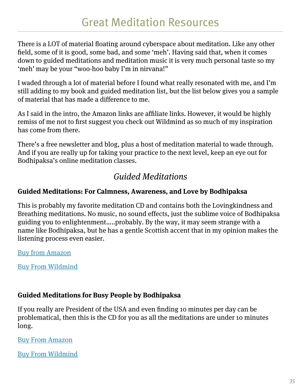There is a LOT of material floating around cyberspace about meditation. Like any other field, some of it is good, some bad, and some 'meh'. Having said that, when it comes down to guided meditations and meditation music it is very much personal taste so my 'meh' may be your "woo-hoo baby I'm in nirvana!"

I waded through a lot of material before I found what really resonated with me, and I'm still adding to my book and guided meditation list, but the list below gives you a sample of material that has made a difference to me.

As I said in the intro, the Amazon links are affiliate links. However, it would be highly remiss of me not to first suggest you check out Wildmind as so much of my inspiration has come from there.

There's a free newsletter and blog, plus a host of meditation material to wade through. And if you are really up for taking your practice to the next level, keep an eye out for Bodhipaksa's online meditation classes.

## Guided Meditations

## **Guided Meditations: For Calmness, Awareness, and Love by Bodhipaksa**

This is probably my favorite meditation CD and contains both the Lovingkindness and Breathing meditations. No music, no sound effects, just the sublime voice of Bodhipaksa guiding you to enlightenment…..probably. By the way, it may seem strange with a name like Bodhipaksa, but he has a gentle Scottish accent that in my opinion makes the listening process even easier.

Buy from Amazon

Buy From Wildmind

## **Guided Meditations for Busy People by Bodhipaksa**

If you really are President of the USA and even finding 10 minutes per day can be problematical, then this is the CD for you as all the meditations are under 10 minutes long.

Buy From Amazon

Buy From Wildmind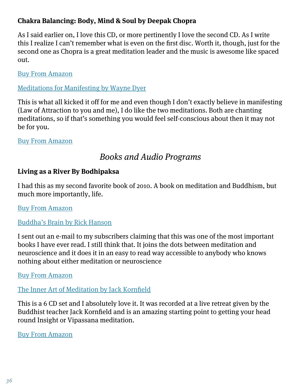## **Chakra Balancing: Body, Mind & Soul by Deepak Chopra**

As I said earlier on, I love this CD, or more pertinently I love the second CD. As I write this I realize I can't remember what is even on the first disc. Worth it, though, just for the second one as Chopra is a great meditation leader and the music is awesome like spaced out.

Buy From Amazon

#### Meditations for Manifesting by Wayne Dyer

This is what all kicked it off for me and even though I don't exactly believe in manifesting (Law of Attraction to you and me), I do like the two meditations. Both are chanting meditations, so if that's something you would feel self-conscious about then it may not be for you.

#### Buy From Amazon

## Books and Audio Programs

#### **Living as a River By Bodhipaksa**

I had this as my second favorite book of 2010. A book on meditation and Buddhism, but much more importantly, life.

Buy From Amazon

#### Buddha's Brain by Rick Hanson

I sent out an e-mail to my subscribers claiming that this was one of the most important books I have ever read. I still think that. It joins the dots between meditation and neuroscience and it does it in an easy to read way accessible to anybody who knows nothing about either meditation or neuroscience

#### Buy From Amazon

## The Inner Art of Meditation by Jack Kornfield

This is a 6 CD set and I absolutely love it. It was recorded at a live retreat given by the Buddhist teacher Jack Kornfield and is an amazing starting point to getting your head round Insight or Vipassana meditation.

#### Buy From Amazon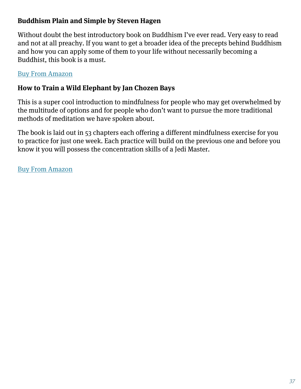## **Buddhism Plain and Simple by Steven Hagen**

Without doubt the best introductory book on Buddhism I've ever read. Very easy to read and not at all preachy. If you want to get a broader idea of the precepts behind Buddhism and how you can apply some of them to your life without necessarily becoming a Buddhist, this book is a must.

#### Buy From Amazon

#### **How to Train a Wild Elephant by Jan Chozen Bays**

This is a super cool introduction to mindfulness for people who may get overwhelmed by the multitude of options and for people who don't want to pursue the more traditional methods of meditation we have spoken about.

The book is laid out in 53 chapters each offering a different mindfulness exercise for you to practice for just one week. Each practice will build on the previous one and before you know it you will possess the concentration skills of a Jedi Master.

Buy From Amazon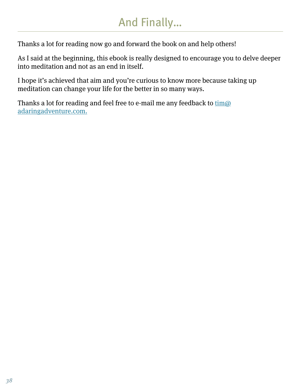# And Finally…

Thanks a lot for reading now go and forward the book on and help others!

As I said at the beginning, this ebook is really designed to encourage you to delve deeper into meditation and not as an end in itself.

I hope it's achieved that aim and you're curious to know more because taking up meditation can change your life for the better in so many ways.

Thanks a lot for reading and feel free to e-mail me any feedback to  $\underline{\text{tim}}\omega$ adaringadventure.com.